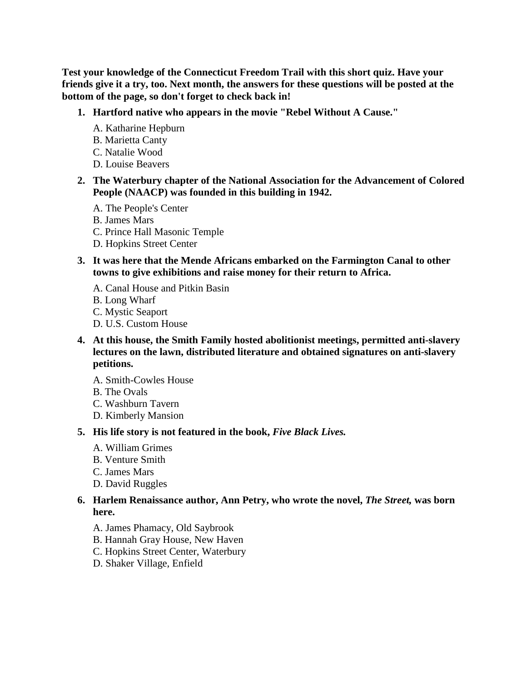**Test your knowledge of the Connecticut Freedom Trail with this short quiz. Have your friends give it a try, too. Next month, the answers for these questions will be posted at the bottom of the page, so don't forget to check back in!**

- **1. Hartford native who appears in the movie "Rebel Without A Cause."** 
	- A. Katharine Hepburn
	- B. Marietta Canty
	- C. Natalie Wood
	- D. Louise Beavers
- **2. The Waterbury chapter of the National Association for the Advancement of Colored People (NAACP) was founded in this building in 1942.** 
	- A. The People's Center
	- B. James Mars
	- C. Prince Hall Masonic Temple
	- D. Hopkins Street Center
- **3. It was here that the Mende Africans embarked on the Farmington Canal to other towns to give exhibitions and raise money for their return to Africa.** 
	- A. Canal House and Pitkin Basin
	- B. Long Wharf
	- C. Mystic Seaport
	- D. U.S. Custom House
- **4. At this house, the Smith Family hosted abolitionist meetings, permitted anti-slavery lectures on the lawn, distributed literature and obtained signatures on anti-slavery petitions.** 
	- A. Smith-Cowles House
	- B. The Ovals
	- C. Washburn Tavern
	- D. Kimberly Mansion

#### **5. His life story is not featured in the book,** *Five Black Lives.*

- A. William Grimes
- B. Venture Smith
- C. James Mars
- D. David Ruggles

### **6. Harlem Renaissance author, Ann Petry, who wrote the novel,** *The Street,* **was born here.**

- A. James Phamacy, Old Saybrook
- B. Hannah Gray House, New Haven
- C. Hopkins Street Center, Waterbury
- D. Shaker Village, Enfield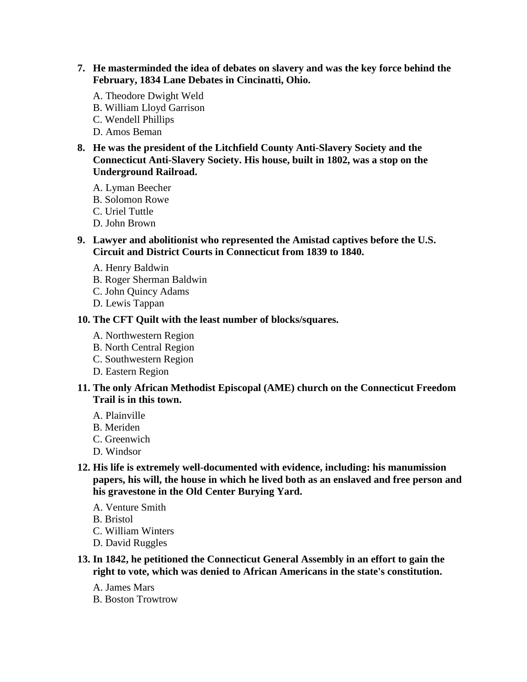- **7. He masterminded the idea of debates on slavery and was the key force behind the February, 1834 Lane Debates in Cincinatti, Ohio.** 
	- A. Theodore Dwight Weld
	- B. William Lloyd Garrison
	- C. Wendell Phillips
	- D. Amos Beman
- **8. He was the president of the Litchfield County Anti-Slavery Society and the Connecticut Anti-Slavery Society. His house, built in 1802, was a stop on the Underground Railroad.** 
	- A. Lyman Beecher
	- B. Solomon Rowe
	- C. Uriel Tuttle
	- D. John Brown
- **9. Lawyer and abolitionist who represented the Amistad captives before the U.S. Circuit and District Courts in Connecticut from 1839 to 1840.** 
	- A. Henry Baldwin
	- B. Roger Sherman Baldwin
	- C. John Quincy Adams
	- D. Lewis Tappan

### **10. The CFT Quilt with the least number of blocks/squares.**

- A. Northwestern Region
- B. North Central Region
- C. Southwestern Region
- D. Eastern Region

### **11. The only African Methodist Episcopal (AME) church on the Connecticut Freedom Trail is in this town.**

- A. Plainville
- B. Meriden
- C. Greenwich
- D. Windsor
- **12. His life is extremely well-documented with evidence, including: his manumission papers, his will, the house in which he lived both as an enslaved and free person and his gravestone in the Old Center Burying Yard.** 
	- A. Venture Smith
	- B. Bristol
	- C. William Winters
	- D. David Ruggles
- **13. In 1842, he petitioned the Connecticut General Assembly in an effort to gain the right to vote, which was denied to African Americans in the state's constitution.** 
	- A. James Mars
	- B. Boston Trowtrow